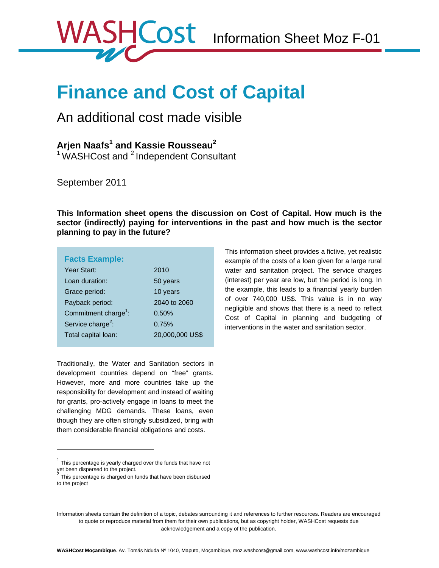This information sheet provides a fictive, yet realistic example of the costs of a loan given for a large rural water and sanitation project. The service charges (interest) per year are low, but the period is long. In the example, this leads to a financial yearly burden of over 740,000 US\$. This value is in no way negligible and shows that there is a need to reflect Cost of Capital in planning and budgeting of interventions in the water and sanitation sector.

# **Finance and Cost of Capital**

# An additional cost made visible

**Arjen Naafs<sup>1</sup> and Kassie Rousseau<sup>2</sup><br><sup>1</sup> WASHCost and <sup>2</sup> Independent Consultant** 

September 2011

**This Information sheet opens the discussion on Cost of Capital. How much is the sector (indirectly) paying for interventions in the past and how much is the sector planning to pay in the future?** 

|  | <b>Facts Example:</b> |  |
|--|-----------------------|--|
|  |                       |  |

 $\overline{a}$ 

| Year Start:                      | 2010            |
|----------------------------------|-----------------|
| Loan duration:                   | 50 years        |
| Grace period:                    | 10 years        |
| Payback period:                  | 2040 to 2060    |
| Commitment charge <sup>1</sup> : | 0.50%           |
| Service charge <sup>2</sup> :    | 0.75%           |
| Total capital loan:              | 20,000,000 US\$ |

Traditionally, the Water and Sanitation sectors in development countries depend on "free" grants. However, more and more countries take up the responsibility for development and instead of waiting for grants, pro-actively engage in loans to meet the challenging MDG demands. These loans, even though they are often strongly subsidized, bring with them considerable financial obligations and costs.

 $1$  This percentage is yearly charged over the funds that have not yet been dispersed to the project.<br><sup>2</sup> This assess to a shapped as fo

This percentage is charged on funds that have been disbursed to the project

Information sheets contain the definition of a topic, debates surrounding it and references to further resources. Readers are encouraged to quote or reproduce material from them for their own publications, but as copyright holder, WASHCost requests due acknowledgement and a copy of the publication.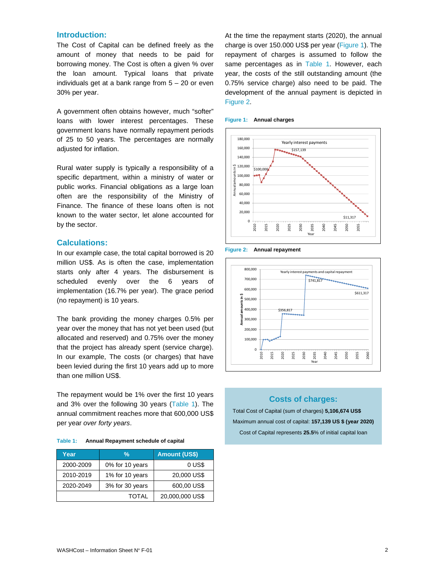# **Introduction:**

The Cost of Capital can be defined freely as the amount of money that needs to be paid for borrowing money. The Cost is often a given % over the loan amount. Typical loans that private individuals get at a bank range from 5 – 20 or even 30% per year.

A government often obtains however, much "softer" loans with lower interest percentages. These government loans have normally repayment periods of 25 to 50 years. The percentages are normally adjusted for inflation.

Rural water supply is typically a responsibility of a specific department, within a ministry of water or public works. Financial obligations as a large loan often are the responsibility of the Ministry of Finance. The finance of these loans often is not known to the water sector, let alone accounted for by the sector.

#### **Calculations:**

In our example case, the total capital borrowed is 20 million US\$. As is often the case, implementation starts only after 4 years. The disbursement is scheduled evenly over the 6 years of implementation (16.7% per year). The grace period (no repayment) is 10 years.

The bank providing the money charges 0.5% per year over the money that has not yet been used (but allocated and reserved) and 0.75% over the money that the project has already spent (service charge). In our example, The costs (or charges) that have been levied during the first 10 years add up to more than one million US\$.

The repayment would be 1% over the first 10 years and 3% over the following 30 years (Table 1). The annual commitment reaches more that 600,000 US\$ per year *over forty years*.

| Table 1: | Annual Repayment schedule of capital |
|----------|--------------------------------------|
|----------|--------------------------------------|

| Year         | %               | <b>Amount (US\$)</b> |
|--------------|-----------------|----------------------|
| 2000-2009    | 0% for 10 years | 0 US\$               |
| 2010-2019    | 1% for 10 years | 20,000 US\$          |
| 2020-2049    | 3% for 30 years | 600,00 US\$          |
| <b>TOTAL</b> |                 | 20,000,000 US\$      |

At the time the repayment starts (2020), the annual charge is over 150.000 US\$ per year (Figure 1). The repayment of charges is assumed to follow the same percentages as in Table 1. However, each year, the costs of the still outstanding amount (the 0.75% service charge) also need to be paid. The development of the annual payment is depicted in Figure 2.





**Figure 2: Annual repayment** 



# **Costs of charges:**

Total Cost of Capital (sum of charges) **5,106,674 US\$**  Maximum annual cost of capital: **157,139 US \$ (year 2020)**  Cost of Capital represents **25.5**% of initial capital loan